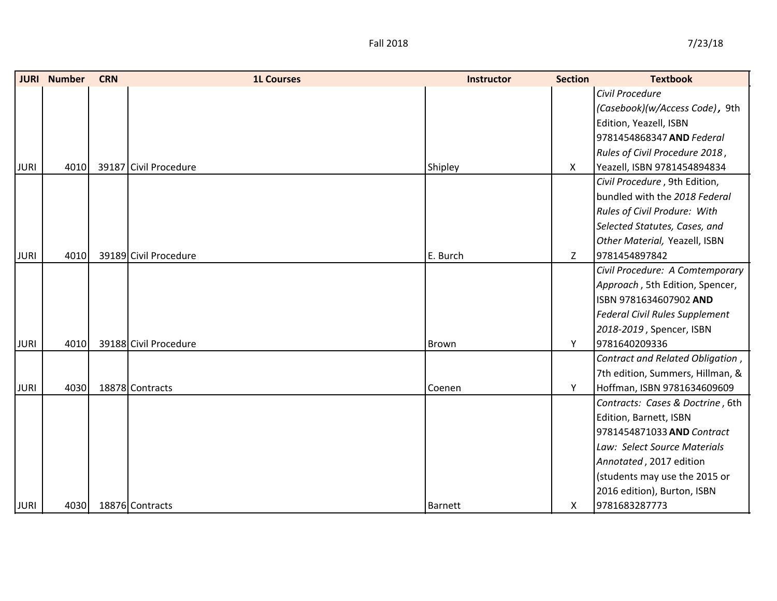|             | <b>JURI</b> Number | <b>CRN</b> | <b>1L Courses</b>     | <b>Instructor</b> | <b>Section</b> | <b>Textbook</b>                       |
|-------------|--------------------|------------|-----------------------|-------------------|----------------|---------------------------------------|
|             |                    |            |                       |                   |                | Civil Procedure                       |
|             |                    |            |                       |                   |                | (Casebook)(w/Access Code), 9th        |
|             |                    |            |                       |                   |                | Edition, Yeazell, ISBN                |
|             |                    |            |                       |                   |                | 9781454868347 AND Federal             |
|             |                    |            |                       |                   |                | Rules of Civil Procedure 2018,        |
| <b>JURI</b> | 4010               |            | 39187 Civil Procedure | Shipley           | X              | Yeazell, ISBN 9781454894834           |
|             |                    |            |                       |                   |                | Civil Procedure, 9th Edition,         |
|             |                    |            |                       |                   |                | bundled with the 2018 Federal         |
|             |                    |            |                       |                   |                | Rules of Civil Produre: With          |
|             |                    |            |                       |                   |                | Selected Statutes, Cases, and         |
|             |                    |            |                       |                   |                | Other Material, Yeazell, ISBN         |
| <b>JURI</b> | 4010               |            | 39189 Civil Procedure | E. Burch          | Z              | 9781454897842                         |
|             |                    |            |                       |                   |                | Civil Procedure: A Comtemporary       |
|             |                    |            |                       |                   |                | Approach, 5th Edition, Spencer,       |
|             |                    |            |                       |                   |                | ISBN 9781634607902 AND                |
|             |                    |            |                       |                   |                | <b>Federal Civil Rules Supplement</b> |
|             |                    |            |                       |                   |                | 2018-2019, Spencer, ISBN              |
| <b>JURI</b> | 4010               |            | 39188 Civil Procedure | Brown             | Y              | 9781640209336                         |
|             |                    |            |                       |                   |                | Contract and Related Obligation,      |
|             |                    |            |                       |                   |                | 7th edition, Summers, Hillman, &      |
| <b>JURI</b> | 4030               |            | 18878 Contracts       | Coenen            | Y              | Hoffman, ISBN 9781634609609           |
|             |                    |            |                       |                   |                | Contracts: Cases & Doctrine, 6th      |
|             |                    |            |                       |                   |                | Edition, Barnett, ISBN                |
|             |                    |            |                       |                   |                | 9781454871033 AND Contract            |
|             |                    |            |                       |                   |                | Law: Select Source Materials          |
|             |                    |            |                       |                   |                | Annotated, 2017 edition               |
|             |                    |            |                       |                   |                | (students may use the 2015 or         |
|             |                    |            |                       |                   |                | 2016 edition), Burton, ISBN           |
| <b>JURI</b> | 4030               |            | 18876 Contracts       | <b>Barnett</b>    | X.             | 9781683287773                         |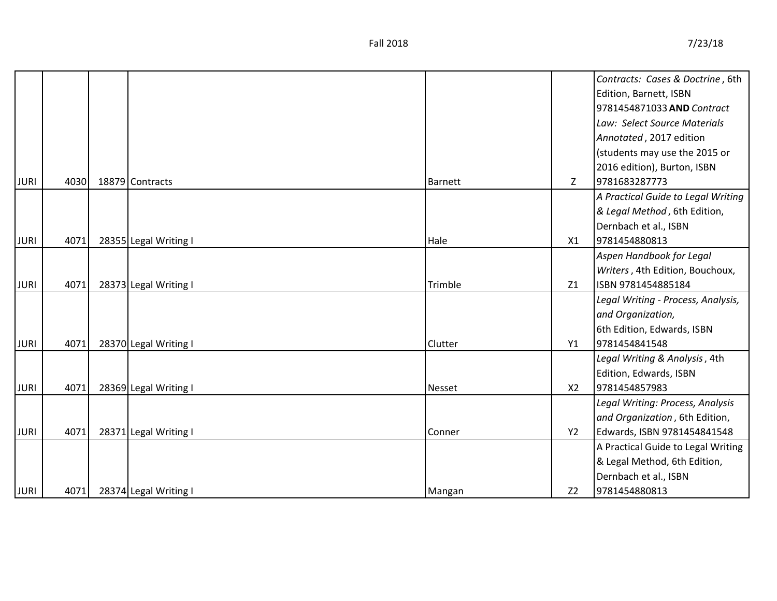|             |      |                       |         |                | Contracts: Cases & Doctrine, 6th   |
|-------------|------|-----------------------|---------|----------------|------------------------------------|
|             |      |                       |         |                | Edition, Barnett, ISBN             |
|             |      |                       |         |                | 9781454871033 AND Contract         |
|             |      |                       |         |                | Law: Select Source Materials       |
|             |      |                       |         |                | Annotated, 2017 edition            |
|             |      |                       |         |                | (students may use the 2015 or      |
|             |      |                       |         |                | 2016 edition), Burton, ISBN        |
| <b>JURI</b> | 4030 | 18879 Contracts       | Barnett | Z              | 9781683287773                      |
|             |      |                       |         |                | A Practical Guide to Legal Writing |
|             |      |                       |         |                | & Legal Method, 6th Edition,       |
|             |      |                       |         |                | Dernbach et al., ISBN              |
| <b>JURI</b> | 4071 | 28355 Legal Writing I | Hale    | X1             | 9781454880813                      |
|             |      |                       |         |                | Aspen Handbook for Legal           |
|             |      |                       |         |                | Writers, 4th Edition, Bouchoux,    |
| <b>JURI</b> | 4071 | 28373 Legal Writing I | Trimble | Z1             | ISBN 9781454885184                 |
|             |      |                       |         |                | Legal Writing - Process, Analysis, |
|             |      |                       |         |                | and Organization,                  |
|             |      |                       |         |                | 6th Edition, Edwards, ISBN         |
| <b>JURI</b> | 4071 | 28370 Legal Writing I | Clutter | Y1             | 9781454841548                      |
|             |      |                       |         |                | Legal Writing & Analysis, 4th      |
|             |      |                       |         |                | Edition, Edwards, ISBN             |
| <b>JURI</b> | 4071 | 28369 Legal Writing I | Nesset  | X <sub>2</sub> | 9781454857983                      |
|             |      |                       |         |                | Legal Writing: Process, Analysis   |
|             |      |                       |         |                | and Organization, 6th Edition,     |
| <b>JURI</b> | 4071 | 28371 Legal Writing I | Conner  | Y2             | Edwards, ISBN 9781454841548        |
|             |      |                       |         |                | A Practical Guide to Legal Writing |
|             |      |                       |         |                | & Legal Method, 6th Edition,       |
|             |      |                       |         |                | Dernbach et al., ISBN              |
| <b>JURI</b> | 4071 | 28374 Legal Writing I | Mangan  | Z <sub>2</sub> | 9781454880813                      |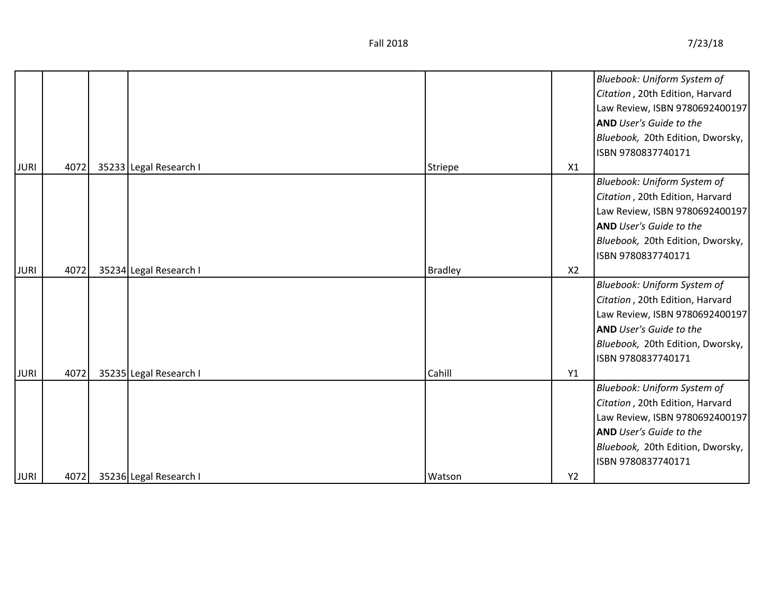|             |      |                        |                |                | Bluebook: Uniform System of      |
|-------------|------|------------------------|----------------|----------------|----------------------------------|
|             |      |                        |                |                | Citation, 20th Edition, Harvard  |
|             |      |                        |                |                | Law Review, ISBN 9780692400197   |
|             |      |                        |                |                | <b>AND</b> User's Guide to the   |
|             |      |                        |                |                | Bluebook, 20th Edition, Dworsky, |
|             |      |                        |                |                | ISBN 9780837740171               |
| <b>JURI</b> | 4072 | 35233 Legal Research I | Striepe        | X1             |                                  |
|             |      |                        |                |                | Bluebook: Uniform System of      |
|             |      |                        |                |                | Citation, 20th Edition, Harvard  |
|             |      |                        |                |                | Law Review, ISBN 9780692400197   |
|             |      |                        |                |                | <b>AND</b> User's Guide to the   |
|             |      |                        |                |                | Bluebook, 20th Edition, Dworsky, |
|             |      |                        |                |                | ISBN 9780837740171               |
| <b>JURI</b> | 4072 | 35234 Legal Research I | <b>Bradley</b> | X <sub>2</sub> |                                  |
|             |      |                        |                |                | Bluebook: Uniform System of      |
|             |      |                        |                |                | Citation, 20th Edition, Harvard  |
|             |      |                        |                |                | Law Review, ISBN 9780692400197   |
|             |      |                        |                |                | <b>AND</b> User's Guide to the   |
|             |      |                        |                |                | Bluebook, 20th Edition, Dworsky, |
|             |      |                        |                |                | ISBN 9780837740171               |
| <b>JURI</b> | 4072 | 35235 Legal Research I | Cahill         | Y1             |                                  |
|             |      |                        |                |                | Bluebook: Uniform System of      |
|             |      |                        |                |                | Citation, 20th Edition, Harvard  |
|             |      |                        |                |                | Law Review, ISBN 9780692400197   |
|             |      |                        |                |                | <b>AND</b> User's Guide to the   |
|             |      |                        |                |                | Bluebook, 20th Edition, Dworsky, |
|             |      |                        |                |                | ISBN 9780837740171               |
| <b>JURI</b> | 4072 | 35236 Legal Research I | Watson         | Y2             |                                  |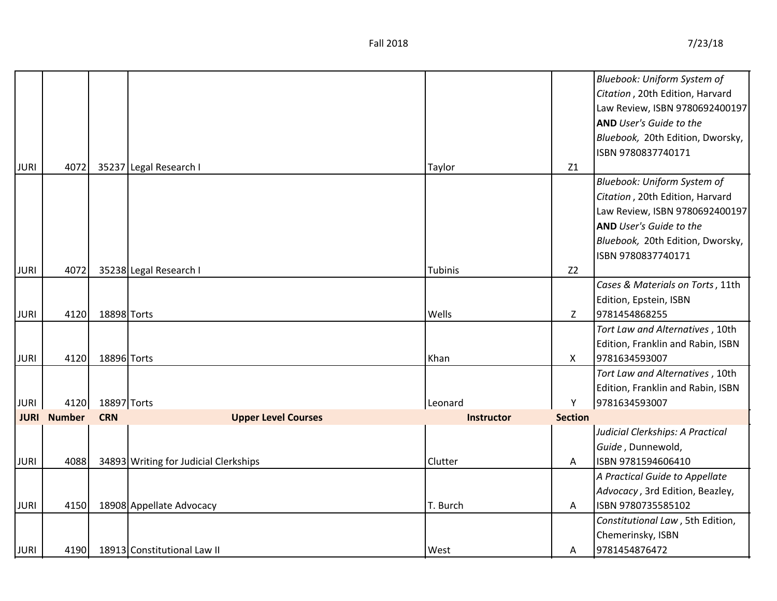|             |                    |             |                                       |                   |                           | Bluebook: Uniform System of       |
|-------------|--------------------|-------------|---------------------------------------|-------------------|---------------------------|-----------------------------------|
|             |                    |             |                                       |                   |                           | Citation, 20th Edition, Harvard   |
|             |                    |             |                                       |                   |                           | Law Review, ISBN 9780692400197    |
|             |                    |             |                                       |                   |                           | <b>AND</b> User's Guide to the    |
|             |                    |             |                                       |                   |                           | Bluebook, 20th Edition, Dworsky,  |
|             |                    |             |                                       |                   |                           | ISBN 9780837740171                |
| <b>JURI</b> | 4072               |             | 35237 Legal Research I                | Taylor            | Z1                        |                                   |
|             |                    |             |                                       |                   |                           | Bluebook: Uniform System of       |
|             |                    |             |                                       |                   |                           | Citation, 20th Edition, Harvard   |
|             |                    |             |                                       |                   |                           | Law Review, ISBN 9780692400197    |
|             |                    |             |                                       |                   |                           | <b>AND</b> User's Guide to the    |
|             |                    |             |                                       |                   |                           | Bluebook, 20th Edition, Dworsky,  |
|             |                    |             |                                       |                   |                           | ISBN 9780837740171                |
| <b>JURI</b> | 4072               |             | 35238 Legal Research I                | Tubinis           | Z <sub>2</sub>            |                                   |
|             |                    |             |                                       |                   |                           | Cases & Materials on Torts, 11th  |
|             |                    |             |                                       |                   |                           | Edition, Epstein, ISBN            |
| <b>JURI</b> | 4120               | 18898 Torts |                                       | Wells             | Z                         | 9781454868255                     |
|             |                    |             |                                       |                   |                           | Tort Law and Alternatives, 10th   |
|             |                    |             |                                       |                   |                           | Edition, Franklin and Rabin, ISBN |
| <b>JURI</b> | 4120               | 18896 Torts |                                       | Khan              | $\boldsymbol{\mathsf{X}}$ | 9781634593007                     |
|             |                    |             |                                       |                   |                           | Tort Law and Alternatives, 10th   |
|             |                    |             |                                       |                   |                           | Edition, Franklin and Rabin, ISBN |
| <b>JURI</b> | 4120               | 18897 Torts |                                       | Leonard           | Υ                         | 9781634593007                     |
|             | <b>JURI</b> Number | <b>CRN</b>  | <b>Upper Level Courses</b>            | <b>Instructor</b> | <b>Section</b>            |                                   |
|             |                    |             |                                       |                   |                           | Judicial Clerkships: A Practical  |
|             |                    |             |                                       |                   |                           | Guide, Dunnewold,                 |
| <b>JURI</b> | 4088               |             | 34893 Writing for Judicial Clerkships | Clutter           | A                         | ISBN 9781594606410                |
|             |                    |             |                                       |                   |                           | A Practical Guide to Appellate    |
|             |                    |             |                                       |                   |                           | Advocacy, 3rd Edition, Beazley,   |
| <b>JURI</b> | 4150               |             | 18908 Appellate Advocacy              | T. Burch          | Α                         | ISBN 9780735585102                |
|             |                    |             |                                       |                   |                           | Constitutional Law, 5th Edition,  |
|             |                    |             |                                       |                   |                           | Chemerinsky, ISBN                 |
| <b>JURI</b> | 4190               |             | 18913 Constitutional Law II           | West              | A                         | 9781454876472                     |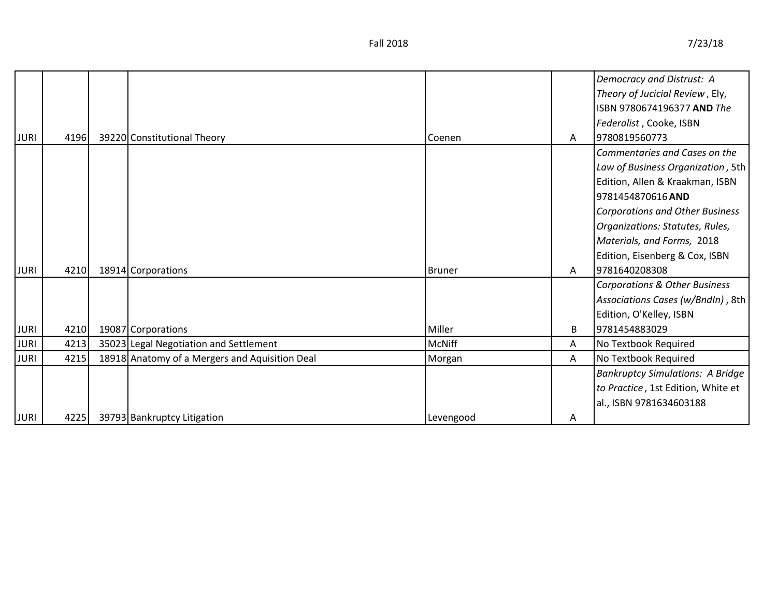|             |      |                                                |               |   | Democracy and Distrust: A                |
|-------------|------|------------------------------------------------|---------------|---|------------------------------------------|
|             |      |                                                |               |   | Theory of Jucicial Review, Ely,          |
|             |      |                                                |               |   | ISBN 9780674196377 AND The               |
|             |      |                                                |               |   | Federalist, Cooke, ISBN                  |
| <b>JURI</b> | 4196 | 39220 Constitutional Theory                    | Coenen        | A | 9780819560773                            |
|             |      |                                                |               |   | Commentaries and Cases on the            |
|             |      |                                                |               |   | Law of Business Organization, 5th        |
|             |      |                                                |               |   | Edition, Allen & Kraakman, ISBN          |
|             |      |                                                |               |   | 9781454870616 AND                        |
|             |      |                                                |               |   | <b>Corporations and Other Business</b>   |
|             |      |                                                |               |   | Organizations: Statutes, Rules,          |
|             |      |                                                |               |   | Materials, and Forms, 2018               |
|             |      |                                                |               |   | Edition, Eisenberg & Cox, ISBN           |
| <b>JURI</b> | 4210 | 18914 Corporations                             | Bruner        | A | 9781640208308                            |
|             |      |                                                |               |   | <b>Corporations &amp; Other Business</b> |
|             |      |                                                |               |   | Associations Cases (w/BndIn), 8th        |
|             |      |                                                |               |   | Edition, O'Kelley, ISBN                  |
| <b>JURI</b> | 4210 | 19087 Corporations                             | Miller        | B | 9781454883029                            |
| <b>JURI</b> | 4213 | 35023 Legal Negotiation and Settlement         | <b>McNiff</b> | A | No Textbook Required                     |
| <b>JURI</b> | 4215 | 18918 Anatomy of a Mergers and Aquisition Deal | Morgan        | A | No Textbook Required                     |
|             |      |                                                |               |   | <b>Bankruptcy Simulations: A Bridge</b>  |
|             |      |                                                |               |   | to Practice, 1st Edition, White et       |
|             |      |                                                |               |   | al., ISBN 9781634603188                  |
| <b>JURI</b> | 4225 | 39793 Bankruptcy Litigation                    | Levengood     | A |                                          |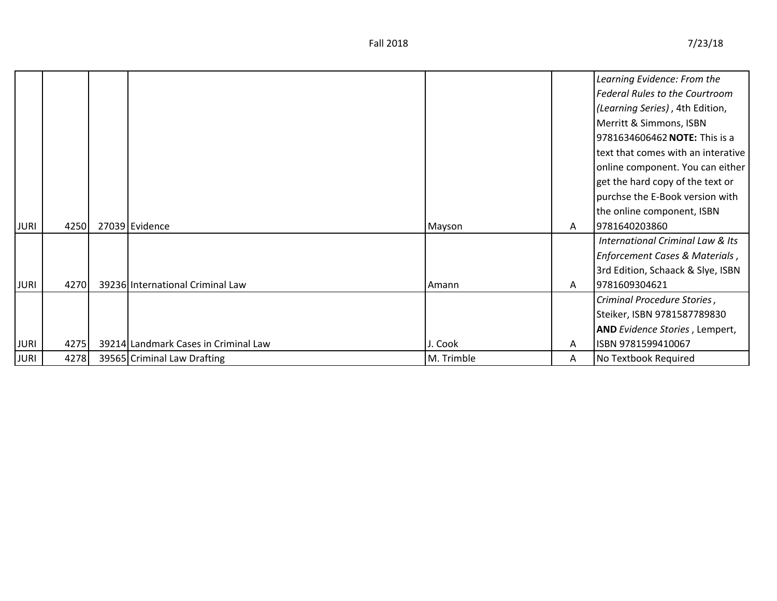|             |      |                                      |            |              | Learning Evidence: From the                 |
|-------------|------|--------------------------------------|------------|--------------|---------------------------------------------|
|             |      |                                      |            |              | <b>Federal Rules to the Courtroom</b>       |
|             |      |                                      |            |              | (Learning Series), 4th Edition,             |
|             |      |                                      |            |              | Merritt & Simmons, ISBN                     |
|             |      |                                      |            |              | 9781634606462 NOTE: This is a               |
|             |      |                                      |            |              | text that comes with an interative          |
|             |      |                                      |            |              | online component. You can either            |
|             |      |                                      |            |              | get the hard copy of the text or            |
|             |      |                                      |            |              | purchse the E-Book version with             |
|             |      |                                      |            |              | the online component, ISBN                  |
| <b>JURI</b> | 4250 | 27039 Evidence                       | Mayson     | $\mathsf{A}$ | 9781640203860                               |
|             |      |                                      |            |              | <b>International Criminal Law &amp; Its</b> |
|             |      |                                      |            |              | Enforcement Cases & Materials,              |
|             |      |                                      |            |              | 3rd Edition, Schaack & Slye, ISBN           |
| <b>JURI</b> | 4270 | 39236 International Criminal Law     | Amann      | $\mathsf{A}$ | 9781609304621                               |
|             |      |                                      |            |              | Criminal Procedure Stories,                 |
|             |      |                                      |            |              | Steiker, ISBN 9781587789830                 |
|             |      |                                      |            |              | <b>AND</b> Evidence Stories, Lempert,       |
| <b>JURI</b> | 4275 | 39214 Landmark Cases in Criminal Law | J. Cook    | A            | ISBN 9781599410067                          |
| <b>JURI</b> | 4278 | 39565 Criminal Law Drafting          | M. Trimble | A            | No Textbook Required                        |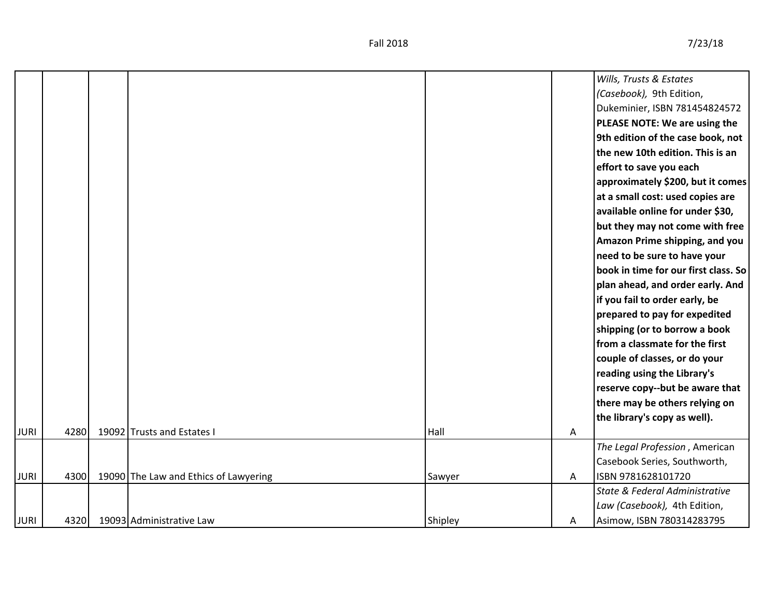| <b>JURI</b> | 4320 | 19093 Administrative Law              | Shipley | Α | Asimow, ISBN 780314283795                                          |
|-------------|------|---------------------------------------|---------|---|--------------------------------------------------------------------|
|             |      |                                       |         |   | Law (Casebook), 4th Edition,                                       |
|             |      |                                       |         |   | State & Federal Administrative                                     |
| <b>JURI</b> | 4300 | 19090 The Law and Ethics of Lawyering | Sawyer  | A | ISBN 9781628101720                                                 |
|             |      |                                       |         |   | Casebook Series, Southworth,                                       |
|             |      |                                       |         |   | The Legal Profession, American                                     |
| <b>JURI</b> | 4280 | 19092 Trusts and Estates I            | Hall    | Α |                                                                    |
|             |      |                                       |         |   | the library's copy as well).                                       |
|             |      |                                       |         |   | there may be others relying on                                     |
|             |      |                                       |         |   | reserve copy--but be aware that                                    |
|             |      |                                       |         |   | reading using the Library's                                        |
|             |      |                                       |         |   | couple of classes, or do your                                      |
|             |      |                                       |         |   | from a classmate for the first                                     |
|             |      |                                       |         |   | shipping (or to borrow a book                                      |
|             |      |                                       |         |   | prepared to pay for expedited                                      |
|             |      |                                       |         |   | if you fail to order early, be                                     |
|             |      |                                       |         |   | plan ahead, and order early. And                                   |
|             |      |                                       |         |   | book in time for our first class. So                               |
|             |      |                                       |         |   | need to be sure to have your                                       |
|             |      |                                       |         |   | Amazon Prime shipping, and you                                     |
|             |      |                                       |         |   | but they may not come with free                                    |
|             |      |                                       |         |   | available online for under \$30,                                   |
|             |      |                                       |         |   | at a small cost: used copies are                                   |
|             |      |                                       |         |   | effort to save you each<br>approximately \$200, but it comes       |
|             |      |                                       |         |   |                                                                    |
|             |      |                                       |         |   | the new 10th edition. This is an                                   |
|             |      |                                       |         |   | PLEASE NOTE: We are using the<br>9th edition of the case book, not |
|             |      |                                       |         |   | Dukeminier, ISBN 781454824572                                      |
|             |      |                                       |         |   | (Casebook), 9th Edition,                                           |
|             |      |                                       |         |   | Wills, Trusts & Estates                                            |
|             |      |                                       |         |   |                                                                    |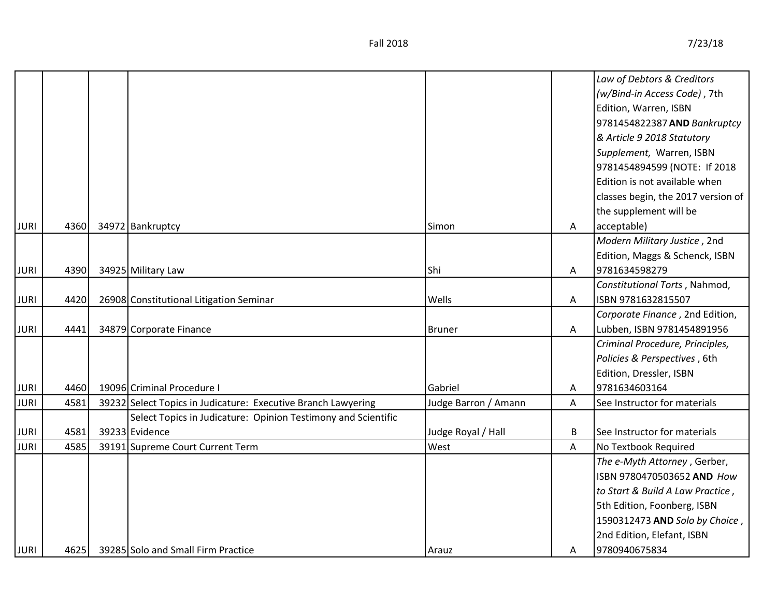|             |      |                                                               |                      |   | Law of Debtors & Creditors         |
|-------------|------|---------------------------------------------------------------|----------------------|---|------------------------------------|
|             |      |                                                               |                      |   | (w/Bind-in Access Code), 7th       |
|             |      |                                                               |                      |   | Edition, Warren, ISBN              |
|             |      |                                                               |                      |   | 9781454822387 AND Bankruptcy       |
|             |      |                                                               |                      |   | & Article 9 2018 Statutory         |
|             |      |                                                               |                      |   | Supplement, Warren, ISBN           |
|             |      |                                                               |                      |   | 9781454894599 (NOTE: If 2018       |
|             |      |                                                               |                      |   | Edition is not available when      |
|             |      |                                                               |                      |   | classes begin, the 2017 version of |
|             |      |                                                               |                      |   | the supplement will be             |
| <b>JURI</b> | 4360 | 34972 Bankruptcy                                              | Simon                | Α | acceptable)                        |
|             |      |                                                               |                      |   | Modern Military Justice, 2nd       |
|             |      |                                                               |                      |   | Edition, Maggs & Schenck, ISBN     |
| <b>JURI</b> | 4390 | 34925 Military Law                                            | Shi                  | Α | 9781634598279                      |
|             |      |                                                               |                      |   | Constitutional Torts, Nahmod,      |
| <b>JURI</b> | 4420 | 26908 Constitutional Litigation Seminar                       | Wells                | Α | ISBN 9781632815507                 |
|             |      |                                                               |                      |   | Corporate Finance, 2nd Edition,    |
| <b>JURI</b> | 4441 | 34879 Corporate Finance                                       | <b>Bruner</b>        | Α | Lubben, ISBN 9781454891956         |
|             |      |                                                               |                      |   | Criminal Procedure, Principles,    |
|             |      |                                                               |                      |   | Policies & Perspectives, 6th       |
|             |      |                                                               |                      |   | Edition, Dressler, ISBN            |
| <b>JURI</b> | 4460 | 19096 Criminal Procedure I                                    | Gabriel              | Α | 9781634603164                      |
| <b>JURI</b> | 4581 | 39232 Select Topics in Judicature: Executive Branch Lawyering | Judge Barron / Amann | A | See Instructor for materials       |
|             |      | Select Topics in Judicature: Opinion Testimony and Scientific |                      |   |                                    |
| <b>JURI</b> | 4581 | 39233 Evidence                                                | Judge Royal / Hall   | B | See Instructor for materials       |
| <b>JURI</b> | 4585 | 39191 Supreme Court Current Term                              | West                 | A | No Textbook Required               |
|             |      |                                                               |                      |   | The e-Myth Attorney, Gerber,       |
|             |      |                                                               |                      |   | ISBN 9780470503652 AND How         |
|             |      |                                                               |                      |   | to Start & Build A Law Practice,   |
|             |      |                                                               |                      |   | 5th Edition, Foonberg, ISBN        |
|             |      |                                                               |                      |   | 1590312473 AND Solo by Choice,     |
|             |      |                                                               |                      |   | 2nd Edition, Elefant, ISBN         |
| <b>JURI</b> | 4625 | 39285 Solo and Small Firm Practice                            | Arauz                | A | 9780940675834                      |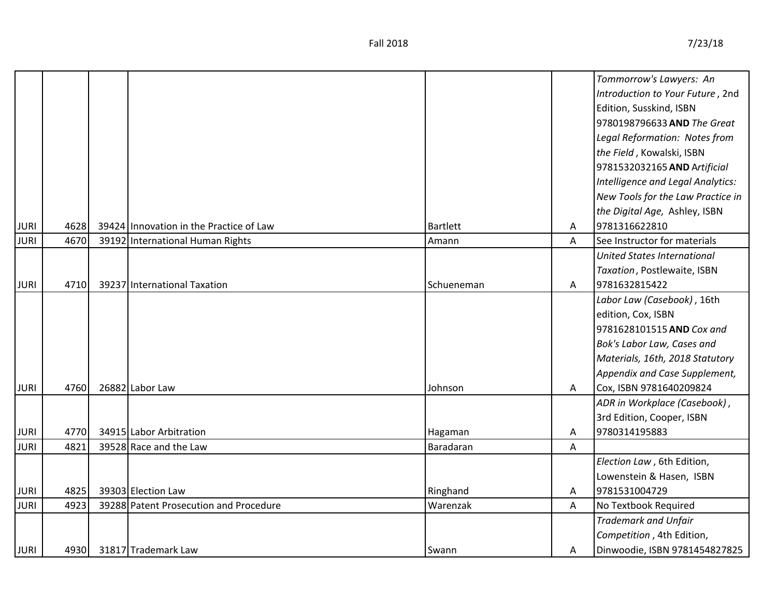|             |      |                                         |            |   | Tommorrow's Lawyers: An            |
|-------------|------|-----------------------------------------|------------|---|------------------------------------|
|             |      |                                         |            |   | Introduction to Your Future, 2nd   |
|             |      |                                         |            |   | Edition, Susskind, ISBN            |
|             |      |                                         |            |   | 9780198796633 AND The Great        |
|             |      |                                         |            |   | Legal Reformation: Notes from      |
|             |      |                                         |            |   | the Field, Kowalski, ISBN          |
|             |      |                                         |            |   | 9781532032165 AND Artificial       |
|             |      |                                         |            |   | Intelligence and Legal Analytics:  |
|             |      |                                         |            |   | New Tools for the Law Practice in  |
|             |      |                                         |            |   | the Digital Age, Ashley, ISBN      |
| <b>JURI</b> | 4628 | 39424 Innovation in the Practice of Law | Bartlett   | A | 9781316622810                      |
| <b>JURI</b> | 4670 | 39192 International Human Rights        | Amann      | A | See Instructor for materials       |
|             |      |                                         |            |   | <b>United States International</b> |
|             |      |                                         |            |   | Taxation, Postlewaite, ISBN        |
| <b>JURI</b> | 4710 | 39237 International Taxation            | Schueneman | A | 9781632815422                      |
|             |      |                                         |            |   | Labor Law (Casebook), 16th         |
|             |      |                                         |            |   | edition, Cox, ISBN                 |
|             |      |                                         |            |   | 9781628101515 AND Cox and          |
|             |      |                                         |            |   | Bok's Labor Law, Cases and         |
|             |      |                                         |            |   | Materials, 16th, 2018 Statutory    |
|             |      |                                         |            |   | Appendix and Case Supplement,      |
| <b>JURI</b> | 4760 | 26882 Labor Law                         | Johnson    | A | Cox, ISBN 9781640209824            |
|             |      |                                         |            |   | ADR in Workplace (Casebook),       |
|             |      |                                         |            |   | 3rd Edition, Cooper, ISBN          |
| <b>JURI</b> | 4770 | 34915 Labor Arbitration                 | Hagaman    | A | 9780314195883                      |
| <b>JURI</b> | 4821 | 39528 Race and the Law                  | Baradaran  | Α |                                    |
|             |      |                                         |            |   | Election Law, 6th Edition,         |
|             |      |                                         |            |   | Lowenstein & Hasen, ISBN           |
| <b>JURI</b> | 4825 | 39303 Election Law                      | Ringhand   | A | 9781531004729                      |
| <b>JURI</b> | 4923 | 39288 Patent Prosecution and Procedure  | Warenzak   | Α | No Textbook Required               |
|             |      |                                         |            |   | <b>Trademark and Unfair</b>        |
|             |      |                                         |            |   | Competition, 4th Edition,          |
| <b>JURI</b> | 4930 | 31817 Trademark Law                     | Swann      | A | Dinwoodie, ISBN 9781454827825      |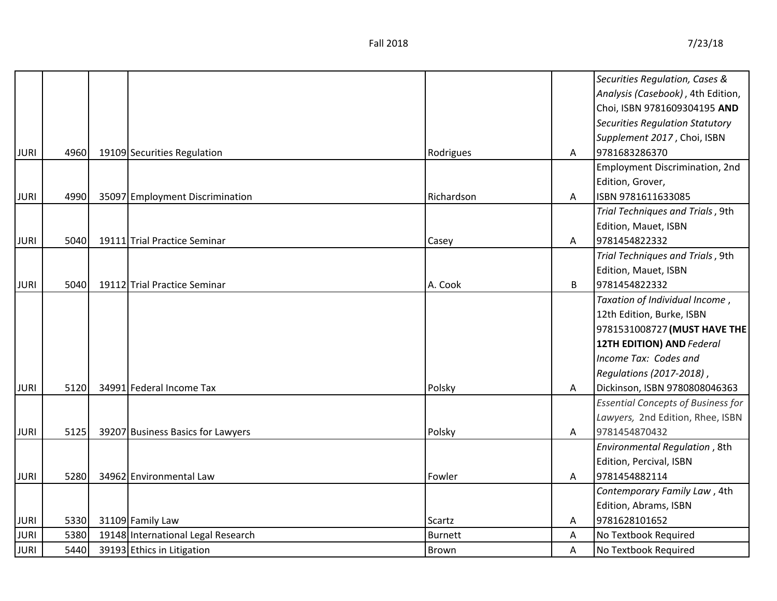|             |      |                                    |                |   | Securities Regulation, Cases &            |
|-------------|------|------------------------------------|----------------|---|-------------------------------------------|
|             |      |                                    |                |   | Analysis (Casebook), 4th Edition,         |
|             |      |                                    |                |   | Choi, ISBN 9781609304195 AND              |
|             |      |                                    |                |   | <b>Securities Regulation Statutory</b>    |
|             |      |                                    |                |   | Supplement 2017, Choi, ISBN               |
| <b>JURI</b> | 4960 | 19109 Securities Regulation        | Rodrigues      | A | 9781683286370                             |
|             |      |                                    |                |   | Employment Discrimination, 2nd            |
|             |      |                                    |                |   | Edition, Grover,                          |
| <b>JURI</b> | 4990 | 35097 Employment Discrimination    | Richardson     | A | ISBN 9781611633085                        |
|             |      |                                    |                |   | Trial Techniques and Trials, 9th          |
|             |      |                                    |                |   | Edition, Mauet, ISBN                      |
| <b>JURI</b> | 5040 | 19111 Trial Practice Seminar       | Casey          | A | 9781454822332                             |
|             |      |                                    |                |   | Trial Techniques and Trials, 9th          |
|             |      |                                    |                |   | Edition, Mauet, ISBN                      |
| <b>JURI</b> | 5040 | 19112 Trial Practice Seminar       | A. Cook        | B | 9781454822332                             |
|             |      |                                    |                |   | Taxation of Individual Income,            |
|             |      |                                    |                |   | 12th Edition, Burke, ISBN                 |
|             |      |                                    |                |   | 9781531008727 (MUST HAVE THE              |
|             |      |                                    |                |   | <b>12TH EDITION) AND Federal</b>          |
|             |      |                                    |                |   | Income Tax: Codes and                     |
|             |      |                                    |                |   | Regulations (2017-2018),                  |
| <b>JURI</b> | 5120 | 34991 Federal Income Tax           | Polsky         | A | Dickinson, ISBN 9780808046363             |
|             |      |                                    |                |   | <b>Essential Concepts of Business for</b> |
|             |      |                                    |                |   | Lawyers, 2nd Edition, Rhee, ISBN          |
| <b>JURI</b> | 5125 | 39207 Business Basics for Lawyers  | Polsky         | A | 9781454870432                             |
|             |      |                                    |                |   | Environmental Regulation, 8th             |
|             |      |                                    |                |   | Edition, Percival, ISBN                   |
| <b>JURI</b> | 5280 | 34962 Environmental Law            | Fowler         | A | 9781454882114                             |
|             |      |                                    |                |   | Contemporary Family Law, 4th              |
|             |      |                                    |                |   | Edition, Abrams, ISBN                     |
| <b>JURI</b> | 5330 | 31109 Family Law                   | Scartz         | A | 9781628101652                             |
| <b>JURI</b> | 5380 | 19148 International Legal Research | <b>Burnett</b> | A | No Textbook Required                      |
| <b>JURI</b> | 5440 | 39193 Ethics in Litigation         | Brown          | A | No Textbook Required                      |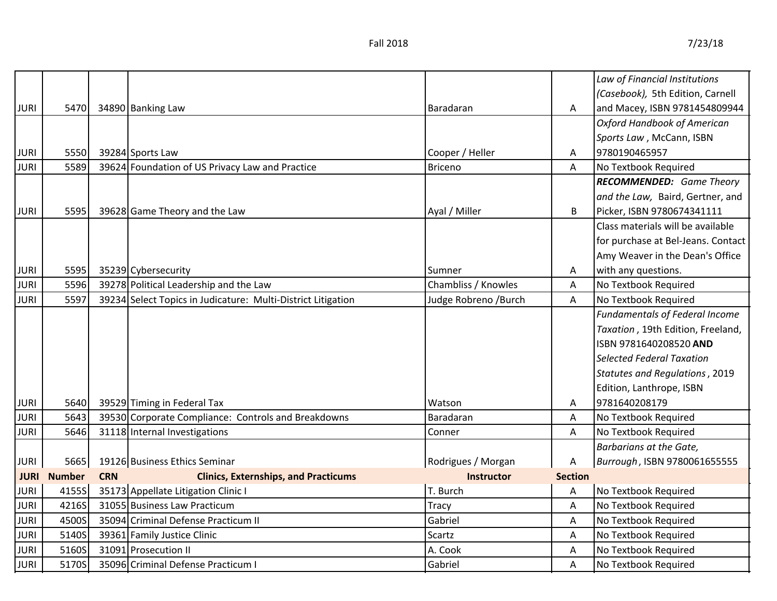|             |               |            |                                                              |                      |                | Law of Financial Institutions         |
|-------------|---------------|------------|--------------------------------------------------------------|----------------------|----------------|---------------------------------------|
|             |               |            |                                                              |                      |                | (Casebook), 5th Edition, Carnell      |
| <b>JURI</b> | 5470          |            | 34890 Banking Law                                            | Baradaran            | Α              | and Macey, ISBN 9781454809944         |
|             |               |            |                                                              |                      |                | <b>Oxford Handbook of American</b>    |
|             |               |            |                                                              |                      |                | Sports Law, McCann, ISBN              |
| <b>JURI</b> | 5550          |            | 39284 Sports Law                                             | Cooper / Heller      | Α              | 9780190465957                         |
| <b>JURI</b> | 5589          |            | 39624 Foundation of US Privacy Law and Practice              | <b>Briceno</b>       | A              | No Textbook Required                  |
|             |               |            |                                                              |                      |                | <b>RECOMMENDED:</b> Game Theory       |
|             |               |            |                                                              |                      |                | and the Law, Baird, Gertner, and      |
| <b>JURI</b> | 5595          |            | 39628 Game Theory and the Law                                | Ayal / Miller        | B              | Picker, ISBN 9780674341111            |
|             |               |            |                                                              |                      |                | Class materials will be available     |
|             |               |            |                                                              |                      |                | for purchase at Bel-Jeans. Contact    |
|             |               |            |                                                              |                      |                | Amy Weaver in the Dean's Office       |
| <b>JURI</b> | 5595          |            | 35239 Cybersecurity                                          | Sumner               | A              | with any questions.                   |
| <b>JURI</b> | 5596          |            | 39278 Political Leadership and the Law                       | Chambliss / Knowles  | A              | No Textbook Required                  |
| <b>JURI</b> | 5597          |            | 39234 Select Topics in Judicature: Multi-District Litigation | Judge Robreno /Burch | A              | No Textbook Required                  |
|             |               |            |                                                              |                      |                | <b>Fundamentals of Federal Income</b> |
|             |               |            |                                                              |                      |                | Taxation, 19th Edition, Freeland,     |
|             |               |            |                                                              |                      |                | ISBN 9781640208520 AND                |
|             |               |            |                                                              |                      |                | <b>Selected Federal Taxation</b>      |
|             |               |            |                                                              |                      |                | <b>Statutes and Regulations, 2019</b> |
|             |               |            |                                                              |                      |                | Edition, Lanthrope, ISBN              |
| <b>JURI</b> | 5640          |            | 39529 Timing in Federal Tax                                  | Watson               | Α              | 9781640208179                         |
| <b>JURI</b> | 5643          |            | 39530 Corporate Compliance: Controls and Breakdowns          | Baradaran            | A              | No Textbook Required                  |
| <b>JURI</b> | 5646          |            | 31118 Internal Investigations                                | Conner               | A              | No Textbook Required                  |
|             |               |            |                                                              |                      |                | Barbarians at the Gate,               |
| <b>JURI</b> | 5665          |            | 19126 Business Ethics Seminar                                | Rodrigues / Morgan   | Α              | Burrough, ISBN 9780061655555          |
| <b>JURI</b> | <b>Number</b> | <b>CRN</b> | <b>Clinics, Externships, and Practicums</b>                  | <b>Instructor</b>    | <b>Section</b> |                                       |
| <b>JURI</b> | 4155S         |            | 35173 Appellate Litigation Clinic I                          | T. Burch             | A              | No Textbook Required                  |
| <b>JURI</b> | 4216S         |            | 31055 Business Law Practicum                                 | Tracy                | A              | No Textbook Required                  |
| <b>JURI</b> | 4500S         |            | 35094 Criminal Defense Practicum II                          | Gabriel              | A              | No Textbook Required                  |
| <b>JURI</b> | 5140S         |            | 39361 Family Justice Clinic                                  | Scartz               | A              | No Textbook Required                  |
| <b>JURI</b> | 5160S         |            | 31091 Prosecution II                                         | A. Cook              | A              | No Textbook Required                  |
| <b>JURI</b> | 5170S         |            | 35096 Criminal Defense Practicum I                           | Gabriel              | A              | No Textbook Required                  |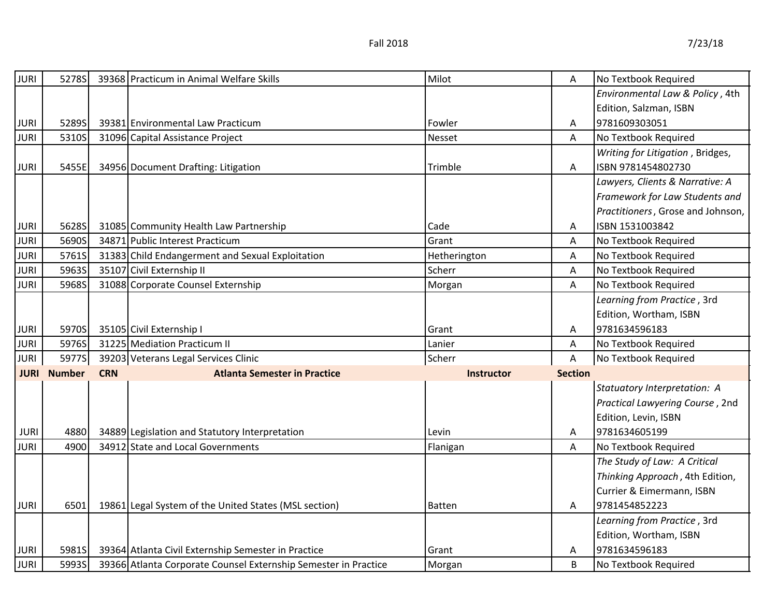| <b>JURI</b> | 5278S              |            | 39368 Practicum in Animal Welfare Skills                        | Milot             | A              | No Textbook Required              |
|-------------|--------------------|------------|-----------------------------------------------------------------|-------------------|----------------|-----------------------------------|
|             |                    |            |                                                                 |                   |                | Environmental Law & Policy, 4th   |
|             |                    |            |                                                                 |                   |                | Edition, Salzman, ISBN            |
| <b>JURI</b> | 5289S              |            | 39381 Environmental Law Practicum                               | Fowler            | A              | 9781609303051                     |
| <b>JURI</b> | 5310S              |            | 31096 Capital Assistance Project                                | Nesset            | A              | No Textbook Required              |
|             |                    |            |                                                                 |                   |                | Writing for Litigation, Bridges,  |
| <b>JURI</b> | 5455E              |            | 34956 Document Drafting: Litigation                             | Trimble           | A              | ISBN 9781454802730                |
|             |                    |            |                                                                 |                   |                | Lawyers, Clients & Narrative: A   |
|             |                    |            |                                                                 |                   |                | Framework for Law Students and    |
|             |                    |            |                                                                 |                   |                | Practitioners, Grose and Johnson, |
| <b>JURI</b> | 5628S              |            | 31085 Community Health Law Partnership                          | Cade              | A              | ISBN 1531003842                   |
| <b>JURI</b> | 5690S              |            | 34871 Public Interest Practicum                                 | Grant             | A              | No Textbook Required              |
| <b>JURI</b> | 5761S              |            | 31383 Child Endangerment and Sexual Exploitation                | Hetherington      | Α              | No Textbook Required              |
| <b>JURI</b> | 5963S              |            | 35107 Civil Externship II                                       | Scherr            | A              | No Textbook Required              |
| <b>JURI</b> | 5968S              |            | 31088 Corporate Counsel Externship                              | Morgan            | А              | No Textbook Required              |
|             |                    |            |                                                                 |                   |                | Learning from Practice, 3rd       |
|             |                    |            |                                                                 |                   |                | Edition, Wortham, ISBN            |
| <b>JURI</b> | 5970S              |            | 35105 Civil Externship I                                        | Grant             | A              | 9781634596183                     |
| <b>JURI</b> | 5976S              |            | 31225 Mediation Practicum II                                    | Lanier            | Α              | No Textbook Required              |
| <b>JURI</b> | 5977S              |            | 39203 Veterans Legal Services Clinic                            | Scherr            | A              | No Textbook Required              |
|             | <b>JURI Number</b> | <b>CRN</b> | <b>Atlanta Semester in Practice</b>                             | <b>Instructor</b> | <b>Section</b> |                                   |
|             |                    |            |                                                                 |                   |                | Statuatory Interpretation: A      |
|             |                    |            |                                                                 |                   |                | Practical Lawyering Course, 2nd   |
|             |                    |            |                                                                 |                   |                | Edition, Levin, ISBN              |
| <b>JURI</b> | 4880               |            | 34889 Legislation and Statutory Interpretation                  | Levin             | Α              | 9781634605199                     |
| <b>JURI</b> | 4900               |            | 34912 State and Local Governments                               | Flanigan          | A              | No Textbook Required              |
|             |                    |            |                                                                 |                   |                | The Study of Law: A Critical      |
|             |                    |            |                                                                 |                   |                | Thinking Approach, 4th Edition,   |
|             |                    |            |                                                                 |                   |                | Currier & Eimermann, ISBN         |
| <b>JURI</b> | 6501               |            | 19861 Legal System of the United States (MSL section)           | Batten            | Α              | 9781454852223                     |
|             |                    |            |                                                                 |                   |                | Learning from Practice, 3rd       |
|             |                    |            |                                                                 |                   |                | Edition, Wortham, ISBN            |
| <b>JURI</b> | 5981S              |            | 39364 Atlanta Civil Externship Semester in Practice             | Grant             | Α              | 9781634596183                     |
| <b>JURI</b> | 5993S              |            | 39366 Atlanta Corporate Counsel Externship Semester in Practice | Morgan            | B              | No Textbook Required              |